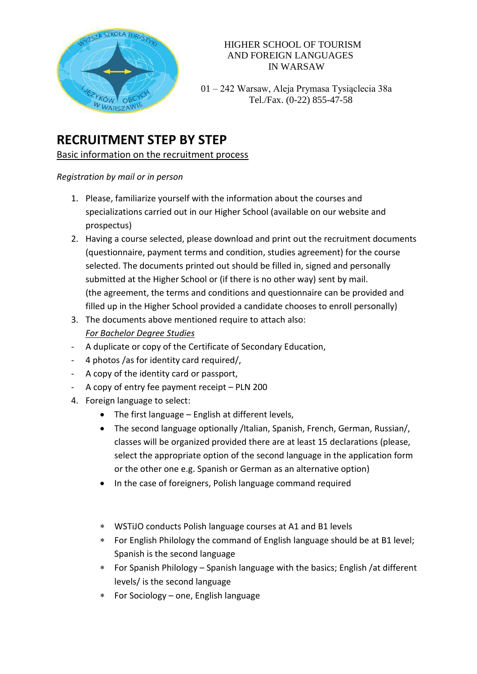

#### HIGHER SCHOOL OF TOURISM AND FOREIGN LANGUAGES IN WARSAW

 01 – 242 Warsaw, Aleja Prymasa Tysiąclecia 38a  $W_{WAPGZ,NVIE}$  Tel./Fax. (0-22) 855-47-58

# **RECRUITMENT STEP BY STEP**

# Basic information on the recruitment process

### *Registration by mail or in person*

- 1. Please, familiarize yourself with the information about the courses and specializations carried out in our Higher School (available on our website and prospectus)
- 2. Having a course selected, please download and print out the recruitment documents (questionnaire, payment terms and condition, studies agreement) for the course selected. The documents printed out should be filled in, signed and personally submitted at the Higher School or (if there is no other way) sent by mail. (the agreement, the terms and conditions and questionnaire can be provided and filled up in the Higher School provided a candidate chooses to enroll personally)
- 3. The documents above mentioned require to attach also: *For Bachelor Degree Studies*
- A duplicate or copy of the Certificate of Secondary Education,
- 4 photos /as for identity card required/,
- A copy of the identity card or passport,
- A copy of entry fee payment receipt PLN 200
- 4. Foreign language to select:
	- The first language English at different levels,
	- The second language optionally /Italian, Spanish, French, German, Russian/, classes will be organized provided there are at least 15 declarations (please, select the appropriate option of the second language in the application form or the other one e.g. Spanish or German as an alternative option)
	- In the case of foreigners, Polish language command required
	- WSTiJO conducts Polish language courses at A1 and B1 levels
	- For English Philology the command of English language should be at B1 level; Spanish is the second language
	- For Spanish Philology Spanish language with the basics; English /at different levels/ is the second language
	- For Sociology one, English language